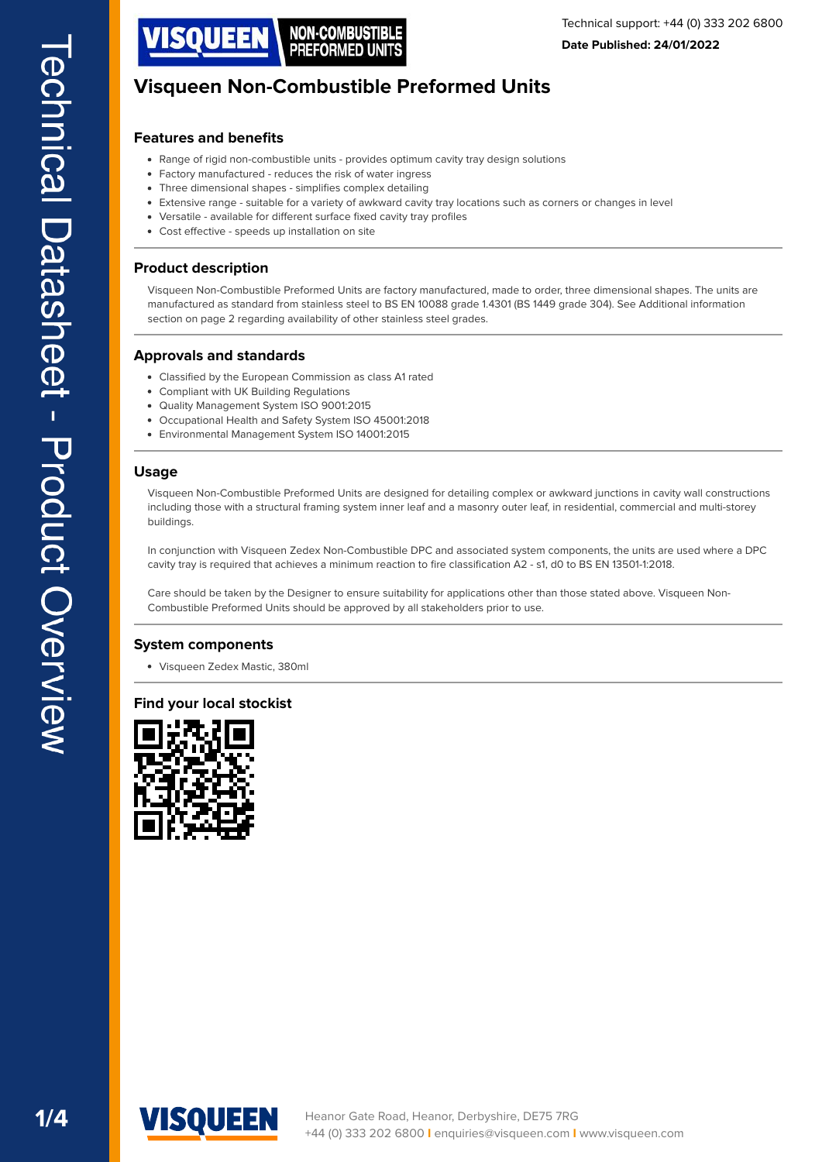

## **Features and benefits**

- Range of rigid non-combustible units provides optimum cavity tray design solutions
- Factory manufactured reduces the risk of water ingress
- $\bullet$ Three dimensional shapes - simplifes complex detailing
- Extensive range suitable for a variety of awkward cavity tray locations such as corners or changes in level
- Versatile available for different surface fixed cavity tray profiles
- Cost effective speeds up installation on site

#### **Product description**

Visqueen Non-Combustible Preformed Units are factory manufactured, made to order, three dimensional shapes. The units are manufactured as standard from stainless steel to BS EN 10088 grade 1.4301 (BS 1449 grade 304). See Additional information section on page 2 regarding availability of other stainless steel grades.

#### **Approvals and standards**

- Classifed by the European Commission as class A1 rated
- Compliant with UK Building Regulations
- $\ddot{\phantom{a}}$ Quality Management System ISO 9001:2015
- Occupational Health and Safety System ISO 45001:2018
- Environmental Management System ISO 14001:2015  $\bullet$

#### **Usage**

Visqueen Non-Combustible Preformed Units are designed for detailing complex or awkward junctions in cavity wall constructions including those with a structural framing system inner leaf and a masonry outer leaf, in residential, commercial and multi-storey buildings.

In conjunction with Visqueen Zedex Non-Combustible DPC and associated system components, the units are used where a DPC cavity tray is required that achieves a minimum reaction to fire classification A2 - s1, d0 to BS EN 13501-1:2018.

Care should be taken by the Designer to ensure suitability for applications other than those stated above. Visqueen Non-Combustible Preformed Units should be approved by all stakeholders prior to use.

#### **System components**

[Visqueen Zedex Mastic, 380ml](https://visqueen.com/downloads/system-component/1297)

#### **Find your local stockist**



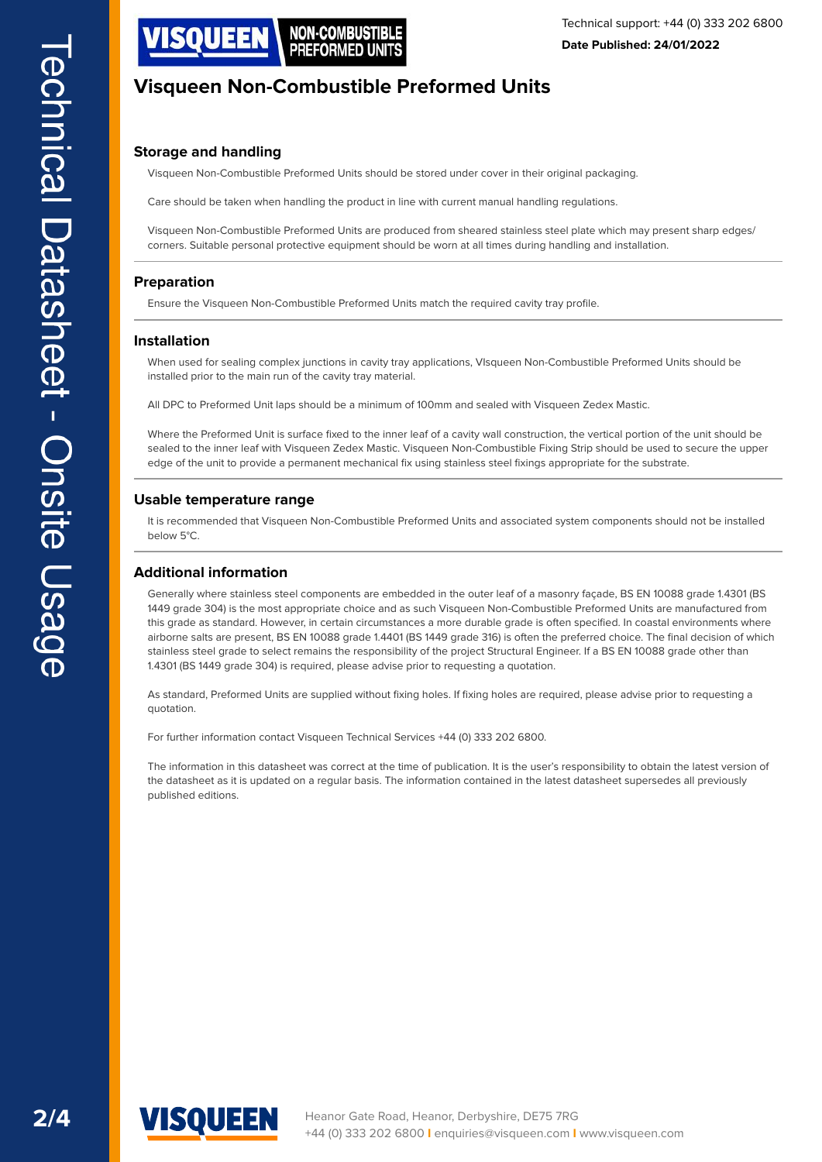

# **Storage and handling**

Visqueen Non-Combustible Preformed Units should be stored under cover in their original packaging.

Care should be taken when handling the product in line with current manual handling regulations.

Visqueen Non-Combustible Preformed Units are produced from sheared stainless steel plate which may present sharp edges/ corners. Suitable personal protective equipment should be worn at all times during handling and installation.

## **Preparation**

Ensure the Visqueen Non-Combustible Preformed Units match the required cavity tray profle.

#### **Installation**

When used for sealing complex junctions in cavity tray applications, VIsqueen Non-Combustible Preformed Units should be installed prior to the main run of the cavity tray material.

All DPC to Preformed Unit laps should be a minimum of 100mm and sealed with Visqueen Zedex Mastic.

Where the Preformed Unit is surface fixed to the inner leaf of a cavity wall construction, the vertical portion of the unit should be sealed to the inner leaf with Visqueen Zedex Mastic. Visqueen Non-Combustible Fixing Strip should be used to secure the upper edge of the unit to provide a permanent mechanical fix using stainless steel fixings appropriate for the substrate.

#### **Usable temperature range**

It is recommended that Visqueen Non-Combustible Preformed Units and associated system components should not be installed below 5°C.

#### **Additional information**

Generally where stainless steel components are embedded in the outer leaf of a masonry façade, BS EN 10088 grade 1.4301 (BS 1449 grade 304) is the most appropriate choice and as such Visqueen Non-Combustible Preformed Units are manufactured from this grade as standard. However, in certain circumstances a more durable grade is often specifed. In coastal environments where airborne salts are present, BS EN 10088 grade 1.4401 (BS 1449 grade 316) is often the preferred choice. The fnal decision of which stainless steel grade to select remains the responsibility of the project Structural Engineer. If a BS EN 10088 grade other than 1.4301 (BS 1449 grade 304) is required, please advise prior to requesting a quotation.

As standard, Preformed Units are supplied without fxing holes. If fxing holes are required, please advise prior to requesting a quotation.

For further information contact Visqueen Technical Services +44 (0) 333 202 6800.

The information in this datasheet was correct at the time of publication. It is the user's responsibility to obtain the latest version of the datasheet as it is updated on a regular basis. The information contained in the latest datasheet supersedes all previously published editions.



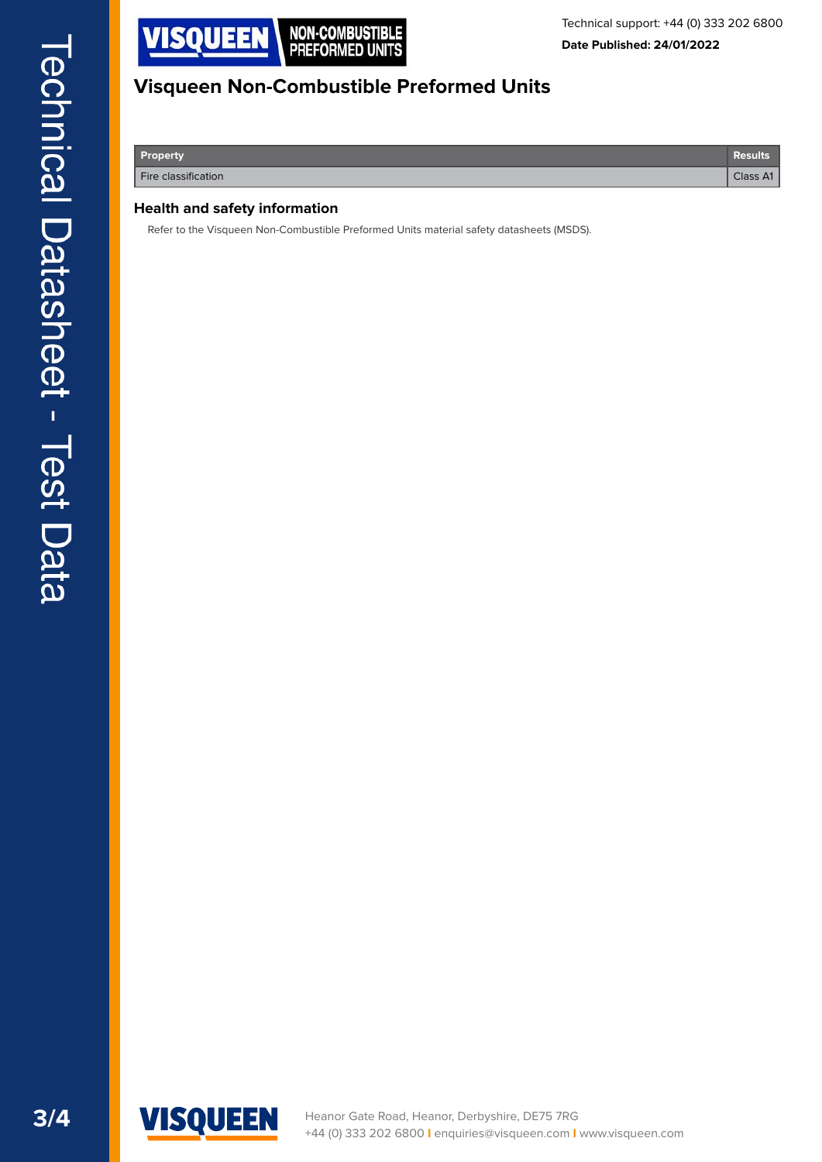

**Property Results**

**Fire classification** Class A1 **Class A1** 

#### **Health and safety information**

Refer to the Visqueen Non-Combustible Preformed Units material safety datasheets (MSDS).